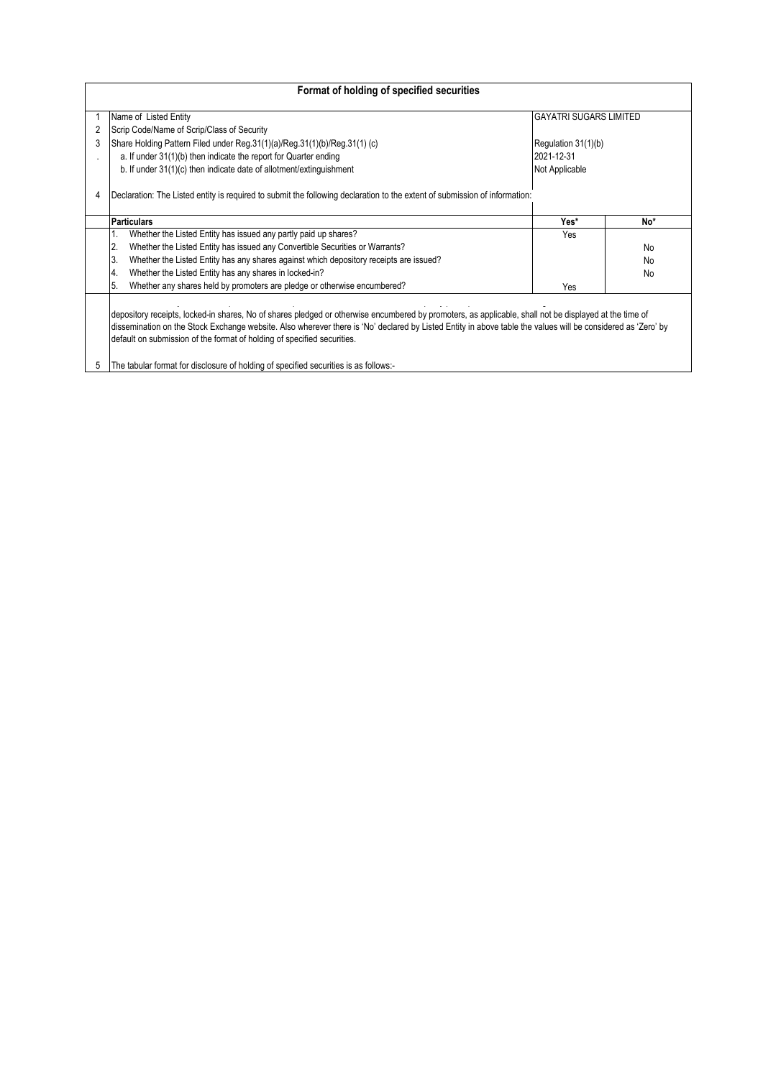| Format of holding of specified securities |                                                                                                                                                                                                                                                                                                                                                                                                                                                                                           |                               |           |  |  |  |  |  |  |  |  |
|-------------------------------------------|-------------------------------------------------------------------------------------------------------------------------------------------------------------------------------------------------------------------------------------------------------------------------------------------------------------------------------------------------------------------------------------------------------------------------------------------------------------------------------------------|-------------------------------|-----------|--|--|--|--|--|--|--|--|
|                                           | Name of Listed Entity                                                                                                                                                                                                                                                                                                                                                                                                                                                                     | <b>GAYATRI SUGARS LIMITED</b> |           |  |  |  |  |  |  |  |  |
|                                           | Scrip Code/Name of Scrip/Class of Security                                                                                                                                                                                                                                                                                                                                                                                                                                                |                               |           |  |  |  |  |  |  |  |  |
|                                           | Share Holding Pattern Filed under Reg.31(1)(a)/Reg.31(1)(b)/Reg.31(1) (c)                                                                                                                                                                                                                                                                                                                                                                                                                 | Regulation 31(1)(b)           |           |  |  |  |  |  |  |  |  |
|                                           | a. If under 31(1)(b) then indicate the report for Quarter ending                                                                                                                                                                                                                                                                                                                                                                                                                          | 2021-12-31                    |           |  |  |  |  |  |  |  |  |
|                                           | b. If under 31(1)(c) then indicate date of allotment/extinguishment                                                                                                                                                                                                                                                                                                                                                                                                                       | Not Applicable                |           |  |  |  |  |  |  |  |  |
|                                           | Declaration: The Listed entity is required to submit the following declaration to the extent of submission of information:                                                                                                                                                                                                                                                                                                                                                                |                               |           |  |  |  |  |  |  |  |  |
|                                           | <b>Particulars</b>                                                                                                                                                                                                                                                                                                                                                                                                                                                                        | Yes*                          | No*       |  |  |  |  |  |  |  |  |
|                                           | Whether the Listed Entity has issued any partly paid up shares?                                                                                                                                                                                                                                                                                                                                                                                                                           | Yes                           |           |  |  |  |  |  |  |  |  |
|                                           | Whether the Listed Entity has issued any Convertible Securities or Warrants?<br>2.                                                                                                                                                                                                                                                                                                                                                                                                        |                               | <b>No</b> |  |  |  |  |  |  |  |  |
|                                           | 3.<br>Whether the Listed Entity has any shares against which depository receipts are issued?                                                                                                                                                                                                                                                                                                                                                                                              |                               | <b>No</b> |  |  |  |  |  |  |  |  |
|                                           | Whether the Listed Entity has any shares in locked-in?<br>4.                                                                                                                                                                                                                                                                                                                                                                                                                              |                               | <b>No</b> |  |  |  |  |  |  |  |  |
|                                           | Whether any shares held by promoters are pledge or otherwise encumbered?<br>5.                                                                                                                                                                                                                                                                                                                                                                                                            | Yes                           |           |  |  |  |  |  |  |  |  |
| 5                                         | depository receipts, locked-in shares, No of shares pledged or otherwise encumbered by promoters, as applicable, shall not be displayed at the time of<br>dissemination on the Stock Exchange website. Also wherever there is 'No' declared by Listed Entity in above table the values will be considered as 'Zero' by<br>default on submission of the format of holding of specified securities.<br>The tabular format for disclosure of holding of specified securities is as follows:- |                               |           |  |  |  |  |  |  |  |  |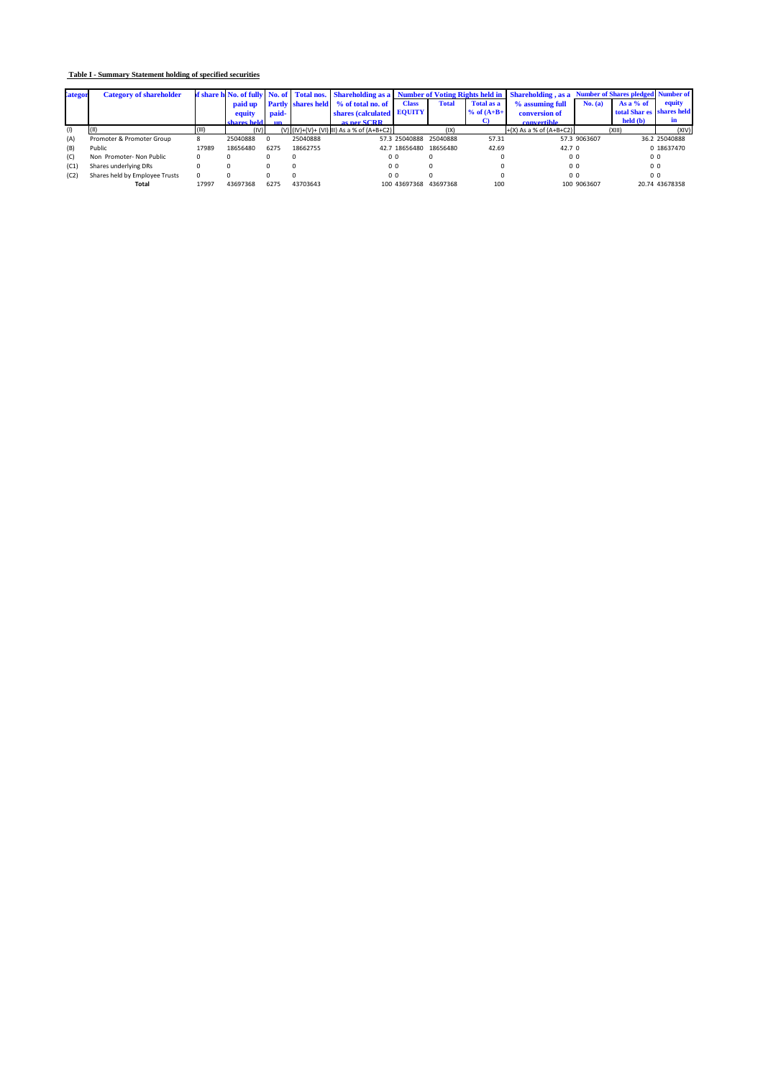## **Table I - Summary Statement holding of specified securities**

| <b>lategor</b> | <b>Category of shareholder</b> |       |             |       |          |                                              | of share h No. of fully No. of Total nos. Shareholding as a Number of Voting Rights held in Shareholding, as a Number of Shares pledged Number of |              |                |                             |              |                           |                |
|----------------|--------------------------------|-------|-------------|-------|----------|----------------------------------------------|---------------------------------------------------------------------------------------------------------------------------------------------------|--------------|----------------|-----------------------------|--------------|---------------------------|----------------|
|                |                                |       |             |       |          | paid up Partly shares held % of total no. of | <b>Class</b>                                                                                                                                      | <b>Total</b> | Total as a     | % assuming full             | No. (a)      | As a $%$ of               | equity         |
|                |                                |       | equity      | paid- |          | shares (calculated EQUITY                    |                                                                                                                                                   |              | $%$ of $(A+B+$ | conversion of               |              | total Shar es shares held |                |
|                |                                |       | charee held |       |          | as ner SCRR                                  |                                                                                                                                                   |              |                | convertible                 |              | held (b)                  | m              |
| (1)            | T (II)                         | (III) | (IV)        |       |          | (V) (IV)+(V)+ (VI) III) As a % of (A+B+C2)   |                                                                                                                                                   | IX)          |                | $+(X)$ As a % of $(A+B+C2)$ |              | (XIII)                    | (XIV)          |
| (A)            | Promoter & Promoter Group      |       | 25040888    |       | 25040888 |                                              | 57.3 25040888 25040888                                                                                                                            |              | 57.31          |                             | 57.3 9063607 |                           | 36.2 25040888  |
| (B)            | Public                         | 17989 | 18656480    | 6275  | 18662755 |                                              | 42.7 18656480 18656480                                                                                                                            |              | 42.69          | 42.7 <sup>0</sup>           |              |                           | 0 18637470     |
| (C)            | Non Promoter-Non Public        |       |             |       |          |                                              | 0 <sub>0</sub>                                                                                                                                    |              |                | 0 <sub>0</sub>              |              | 0 <sub>0</sub>            |                |
| (C1)           | Shares underlying DRs          |       |             |       |          |                                              | 0 <sub>0</sub>                                                                                                                                    |              |                | 0 <sub>0</sub>              |              | 0 <sub>0</sub>            |                |
| (C2)           | Shares held by Employee Trusts |       |             |       |          |                                              | 0 <sub>0</sub>                                                                                                                                    |              |                | 0 <sub>0</sub>              |              | 0 <sub>0</sub>            |                |
|                | Total                          | 17997 | 43697368    | 6275  | 43703643 |                                              | 100 43697368                                                                                                                                      | 43697368     | 100            |                             | 100 9063607  |                           | 20.74 43678358 |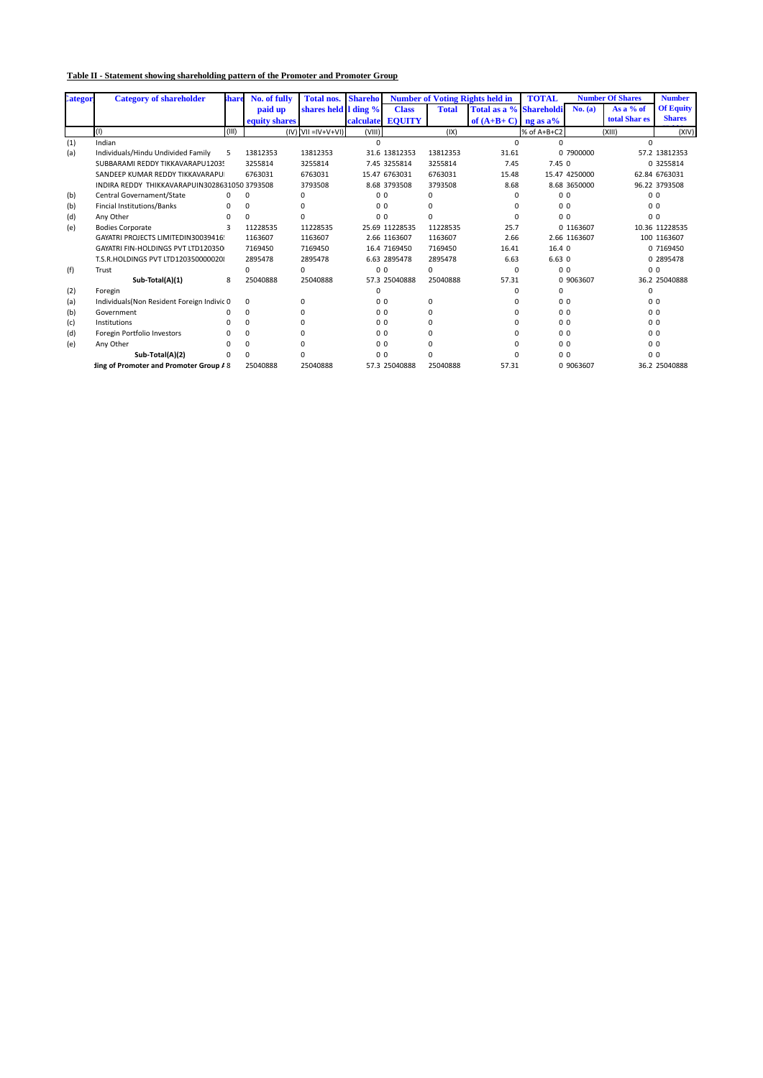## **Table II - Statement showing shareholding pattern of the Promoter and Promoter Group**

| <b>Lategor</b> | <b>Category of shareholder</b>               | share   | No. of fully  | <b>Total nos.</b>            | <b>Shareho</b> |                  |              | <b>Number of Voting Rights held in</b> | <b>TOTAL</b>   |                | <b>Number Of Shares</b> | <b>Number</b>    |
|----------------|----------------------------------------------|---------|---------------|------------------------------|----------------|------------------|--------------|----------------------------------------|----------------|----------------|-------------------------|------------------|
|                |                                              |         | paid up       | shares held I ding %         |                | <b>Class</b>     | <b>Total</b> | Total as a % Shareholdi                |                | No. (a)        | As a % of               | <b>Of Equity</b> |
|                |                                              |         | equity shares |                              |                | calculate EQUITY |              | of $(A+B+C)$ ng as a%                  |                |                | total Shar es           | <b>Shares</b>    |
|                | (1)                                          | (III)   |               | $(IV)$ $(VII = IV + V + VI)$ | (VIII)         |                  | (IX)         |                                        | % of A+B+C2    |                | (X  1)                  | (XIV)            |
| (1)            | Indian                                       |         |               |                              | $\Omega$       |                  |              | n                                      | U              |                | $\Omega$                |                  |
| (a)            | Individuals/Hindu Undivided Family           | 5       | 13812353      | 13812353                     |                | 31.6 13812353    | 13812353     | 31.61                                  |                | 0 7900000      |                         | 57.2 13812353    |
|                | SUBBARAMI REDDY TIKKAVARAPU12035             |         | 3255814       | 3255814                      |                | 7.45 3255814     | 3255814      | 7.45                                   | 7.450          |                |                         | 0 3255814        |
|                | SANDEEP KUMAR REDDY TIKKAVARAPU              |         | 6763031       | 6763031                      |                | 15.47 6763031    | 6763031      | 15.48                                  |                | 15.47 4250000  |                         | 62.84 6763031    |
|                | INDIRA REDDY THIKKAVARAPUIN30286310503793508 |         |               | 3793508                      |                | 8.68 3793508     | 3793508      | 8.68                                   |                | 8.68 3650000   |                         | 96.22 3793508    |
| (b)            | Central Governament/State                    | U       | $\Omega$      |                              | 0 <sub>0</sub> |                  | 0            | n                                      | 0 <sub>0</sub> |                |                         | 0 <sub>0</sub>   |
| (b)            | Fincial Institutions/Banks                   | 0       | $\Omega$      | $\Omega$                     | 0 <sub>0</sub> |                  | $\Omega$     | $\Omega$                               | 0 <sub>0</sub> |                |                         | 0 <sub>0</sub>   |
| (d)            | Any Other                                    |         | $\Omega$      | $\Omega$                     | 0 <sub>0</sub> |                  | 0            | n                                      | 0 <sub>0</sub> |                |                         | 0 <sub>0</sub>   |
| (e)            | <b>Bodies Corporate</b>                      | 3       | 11228535      | 11228535                     |                | 25.69 11228535   | 11228535     | 25.7                                   |                | 0 1163607      |                         | 10.36 11228535   |
|                | GAYATRI PROJECTS LIMITEDIN30039416!          | 1163607 | 1163607       |                              | 2.66 1163607   | 1163607          | 2.66         |                                        | 2.66 1163607   |                | 100 1163607             |                  |
|                | GAYATRI FIN-HOLDINGS PVT LTD120350           | 7169450 | 7169450       |                              | 16.4 7169450   | 7169450          | 16.41        | 16.4 0                                 |                |                | 0 7169450               |                  |
|                | T.S.R.HOLDINGS PVT LTD120350000020           | 2895478 | 2895478       |                              | 6.63 2895478   | 2895478          | 6.63         | 6.630                                  |                |                | 0 2895478               |                  |
| (f)            | Trust                                        |         | 0             | $\Omega$                     | 0 <sub>0</sub> |                  | 0            | 0                                      |                | 0 <sub>0</sub> |                         | 0 <sub>0</sub>   |
|                | Sub-Total(A)(1)                              | 8       | 25040888      | 25040888                     |                | 57.3 25040888    | 25040888     | 57.31                                  |                | 0 9063607      |                         | 36.2 25040888    |
| (2)            | Foregin                                      |         |               |                              | 0              |                  |              | n                                      | $\Omega$       |                | $\Omega$                |                  |
| (a)            | Individuals(Non Resident Foreign Indivic 0   |         | $\Omega$      | $\Omega$                     | 0 <sub>0</sub> |                  | 0            | n                                      | 0 <sub>0</sub> |                |                         | 0 <sub>0</sub>   |
| (b)            | Government                                   | ŋ       | $\Omega$      | n                            |                | 0 <sub>0</sub>   | $\Omega$     | <sup>n</sup>                           | 0 <sub>0</sub> |                |                         | 0 <sub>0</sub>   |
| (c)            | Institutions                                 |         | $\Omega$      |                              | 0 <sub>0</sub> |                  | $\Omega$     | $\Omega$                               | 0 <sub>0</sub> |                |                         | 0 <sub>0</sub>   |
| (d)            | Foregin Portfolio Investors                  |         | $\Omega$      |                              | 0 <sub>0</sub> |                  | $\Omega$     | n                                      | 0 <sub>0</sub> |                |                         | 0 <sub>0</sub>   |
| (e)            | Any Other                                    |         | $\Omega$      |                              | 0 <sub>0</sub> |                  | 0            | 0                                      | 0 <sub>0</sub> |                |                         | 0 <sub>0</sub>   |
|                | Sub-Total(A)(2)                              | U       | $\Omega$      | $\Omega$                     | 0 <sub>0</sub> |                  | $\Omega$     | n                                      | 0 <sub>0</sub> |                |                         | 0 <sub>0</sub>   |
|                | ling of Promoter and Promoter Group / 8      |         | 25040888      | 25040888                     |                | 57.3 25040888    | 25040888     | 57.31                                  |                | 0 9063607      |                         | 36.2 25040888    |